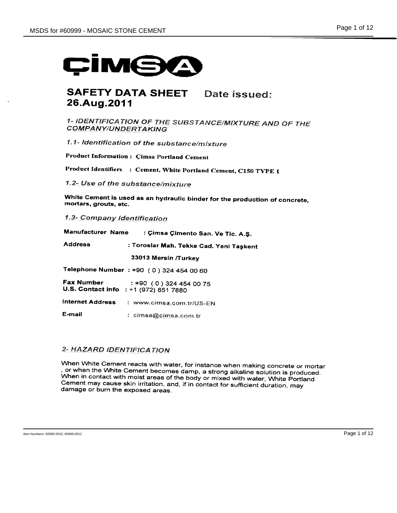# CIME

# **SAFETY DATA SHEET** Date issued: 26.Aug.2011

1- IDENTIFICATION OF THE SUBSTANCE/MIXTURE AND OF THE **COMPANY/UNDERTAKING** 

1.1- Identification of the substance/mixture

**Product Information: Cimsa Portland Cement** 

Product Identifiers : Cement, White Portland Cement, C150 TYPE 1

1.2- Use of the substance/mixture

White Cement is used as an hydraulic binder for the production of concrete, mortars, grouts, etc.

1.3- Company Identification

| Manufacturer Name |  | : Çimsa Çimento San. Ve Tic. A.S. |  |  |  |
|-------------------|--|-----------------------------------|--|--|--|
|-------------------|--|-----------------------------------|--|--|--|

**Address** : Toroslar Mah. Tekke Cad. Yeni Taşkent

33013 Mersin /Turkey

Telephone Number : +90 (0) 324 454 00 60

**Fax Number**  $: +90(0)3244540075$ U.S. Contact info : +1 (972) 851 7880

Internet Address : www.cimsa.com.tr/US-EN

E-mail : cimsa@cimsa.com.tr

# 2- HAZARD IDENTIFICATION

When White Cement reacts with water, for instance when making concrete or mortar , or when the White Cement becomes damp, a strong alkaline solution is produced. When in contact with moist areas of the body or mixed with water, White Portland Cement may cause skin irritation, and, if in contact for sufficient duration, may damage or burn the exposed areas.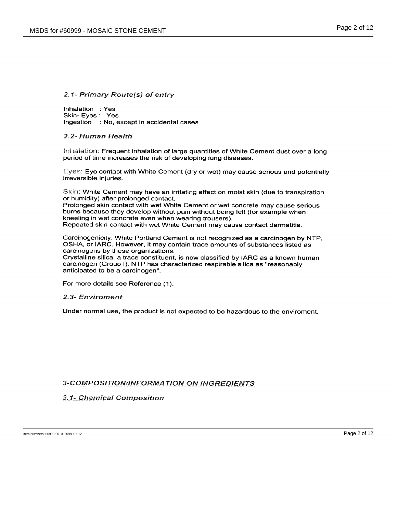# 2.1- Primary Route(s) of entry

Inhalation : Yes Skin-Eves: Yes Ingestion : No, except in accidental cases

#### 2.2- Human Health

Inhalation: Frequent inhalation of large quantities of White Cement dust over a long period of time increases the risk of developing lung diseases.

Eyes: Eye contact with White Cement (dry or wet) may cause serious and potentially irreversible injuries.

Skin: White Cement may have an irritating effect on moist skin (due to transpiration or humidity) after prolonged contact.

Prolonged skin contact with wet White Cement or wet concrete may cause serious burns because they develop without pain without being felt (for example when kneeling in wet concrete even when wearing trousers). Repeated skin contact with wet White Cement may cause contact dermatitis.

Carcinogenicity: White Portland Cement is not recognized as a carcinogen by NTP, OSHA, or IARC. However, it may contain trace amounts of substances listed as carcinogens by these organizations.

Crystalline silica, a trace constituent, is now classified by IARC as a known human carcinogen (Group I). NTP has characterized respirable silica as "reasonably anticipated to be a carcinogen".

For more details see Reference (1).

#### 2.3- Enviroment

Under normal use, the product is not expected to be hazardous to the enviroment.

# **3-COMPOSITION/INFORMATION ON INGREDIENTS**

# 3.1- Chemical Composition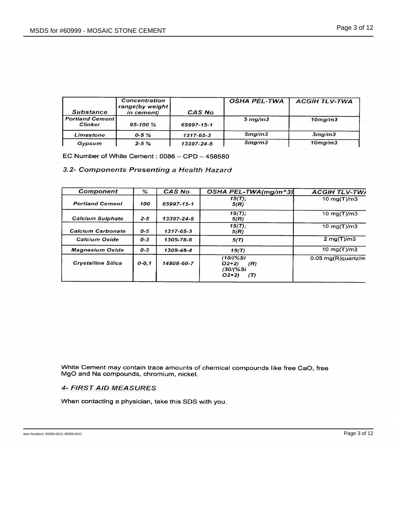| <b>Substance</b>                          | Concentration<br>range(by weight)<br>in cement) | <b>CAS No</b>   | <b>OSHA PEL-TWA</b> | <b>ACGIHTLV-TWA</b>  |
|-------------------------------------------|-------------------------------------------------|-----------------|---------------------|----------------------|
| <b>Portland Cement1</b><br><b>Clinker</b> | $95 - 100 \%$                                   | 65997-15-1      | $5 \,$ ma/m $3$     | $10$ mg/m $3$        |
| Limestone                                 | $0 - 5 \%$                                      | $1317 - 65 - 3$ | 5 <sub>mq</sub> /m3 | 3mg/m3               |
| Gypsum                                    | $2 - 5%$                                        | 13397-24-5      | 5 <sub>mg</sub> /m3 | 10 <sub>ma</sub> /m3 |

EC Number of White Cement: 0086 - CPD - 458580

# 3.2- Components Presenting a Health Hazard

| ℅         | CAS No     | OSHA PEL-TWA(mg/m^3)                                       | <b>ACGIH TLV-TWA</b>          |
|-----------|------------|------------------------------------------------------------|-------------------------------|
| 100       | 65997-15-1 | $15(T)$ ;<br>5(R)                                          | 10 $mq(T)/m3$                 |
| $2 - 5$   | 13397-24-5 | $15(7)$ ;<br>5(R)                                          | 10 $mg(T)/m3$                 |
| $0 - 5$   | 1317-65-3  | $15(T)$ ;<br>5(R)                                          | 10 $mg(T)/m3$                 |
| $0 - 3$   | 1305-78-8  | 5(T)                                                       | 2 mg(T)/m3                    |
| $0 - 3$   | 1309-48-4  | 15(T)                                                      | 10 mg(T)/m3                   |
| $0 - 0.1$ | 14808-60-7 | (10/(%Si<br>$O(2+2)$<br>(R)<br>(30/(%Si<br>$O(2+2)$<br>(T) | $0.05 \text{ mg(R)}$ quartz/m |
|           |            |                                                            |                               |

White Cement may contain trace amounts of chemical compounds like free CaO, free MgO and Na compounds, chromium, nickel.

# **4- FIRST AID MEASURES**

When contacting a physician, take this SDS with you.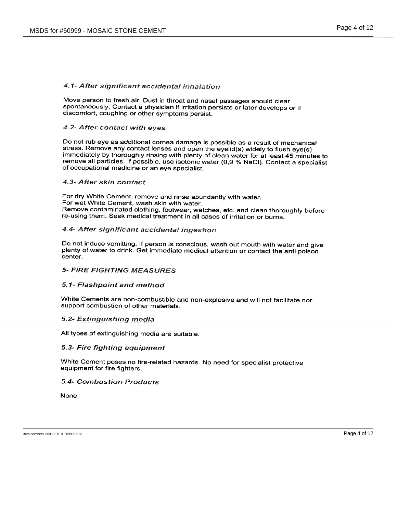## 4.1- After significant accidental inhalation

Move person to fresh air. Dust in throat and nasal passages should clear spontaneously. Contact a physician if irritation persists or later develops or if discomfort, coughing or other symptoms persist.

# 4.2- After contact with eyes

Do not rub eye as additional cornea damage is possible as a result of mechanical stress. Remove any contact lenses and open the eyelid(s) widely to flush eye(s) immediately by thoroughly rinsing with plenty of clean water for at least 45 minutes to remove all particles. If possible, use isotonic water (0,9 % NaCl). Contact a specialist of occupational medicine or an eye specialist.

#### 4.3- After skin contact

For dry White Cement, remove and rinse abundantly with water. For wet White Cement, wash skin with water. Remove contaminated clothing, footwear, watches, etc. and clean thoroughly before re-using them. Seek medical treatment in all cases of irritation or burns.

# 4.4- After significant accidental ingestion

Do not induce vomitting. If person is conscious, wash out mouth with water and give plenty of water to drink. Get immediate medical attention or contact the anti poison center.

## **5- FIRE FIGHTING MEASURES**

# 5.1- Flashpoint and method

White Cements are non-combustible and non-explosive and will not facilitate nor support combustion of other materials.

#### 5.2- Extinguishing media

All types of extinguishing media are suitable.

#### 5.3- Fire fighting equipment

White Cement poses no fire-related hazards. No need for specialist protective equipment for fire fighters.

## **5.4- Combustion Products**

**None**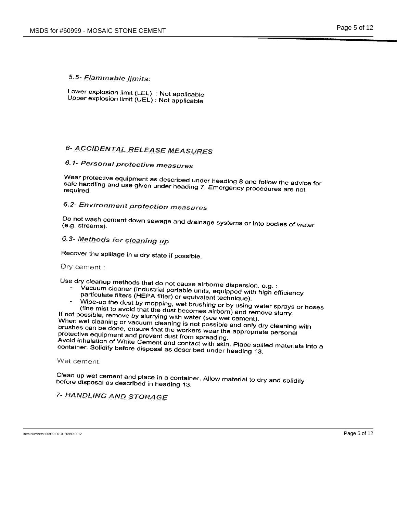# 5.5- Flammable limits:

Lower explosion limit (LEL) : Not applicable Upper explosion limit (UEL) : Not applicable

# **6- ACCIDENTAL RELEASE MEASURES**

# 6.1- Personal protective measures

Wear protective equipment as described under heading 8 and follow the advice for safe handling and use given under heading 7. Emergency procedures are not

# 6.2- Environment protection measures

Do not wash cement down sewage and drainage systems or into bodies of water (e.g. streams).

# 6.3- Methods for cleaning up

Recover the spillage in a dry state if possible.

## Dry cement:

Use dry cleanup methods that do not cause airborne dispersion, e.g. :

- Vacuum cleaner (Industrial portable units, equipped with high efficiency particulate filters (HEPA fitler) or equivalent technique).
- Wipe-up the dust by mopping, wet brushing or by using water sprays or hoses

(fine mist to avoid that the dust becomes airborn) and remove slurry. If not possible, remove by slurrying with water (see wet cement). When wet cleaning or vacuum cleaning is not possible and only dry cleaning with brushes can be done, ensure that the workers wear the appropriate personal protective equipment and prevent dust from spreading. Avoid inhalation of White Cement and contact with skin. Place spilled materials into a container. Solidify before disposal as described under heading 13.

Wet cement:

Clean up wet cement and place in a container. Allow material to dry and solidify before disposal as described in heading 13.

# 7- HANDLING AND STORAGE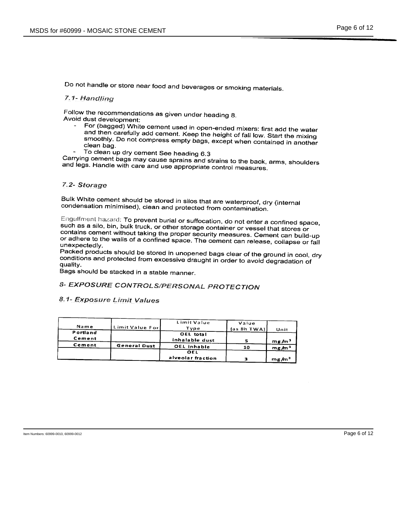Do not handle or store near food and beverages or smoking materials.

# 7.1- Handling

Follow the recommendations as given under heading 8. Avoid dust development:

- For (bagged) White cement used in open-ended mixers: first add the water and then carefully add cement. Keep the height of fall low. Start the mixing smoothly. Do not compress empty bags, except when contained in another clean bag.
- To clean up dry cement See heading 6.3

Carrying cement bags may cause sprains and strains to the back, arms, shoulders and legs. Handle with care and use appropriate control measures.

#### 7.2- Storage

Bulk White cement should be stored in silos that are waterproof, dry (internal condensation minimised), clean and protected from contamination.

Engulfment hazard: To prevent burial or suffocation, do not enter a confined space, such as a silo, bin, bulk truck, or other storage container or vessel that stores or contains cement without taking the proper security measures. Cement can build-up or adhere to the walls of a confined space. The cement can release, collapse or fall unexpectedly.

Packed products should be stored in unopened bags clear of the ground in cool, dry conditions and protected from excessive draught in order to avoid degradation of quality.

Bags should be stacked in a stable manner.

# 8- EXPOSURE CONTROLS/PERSONAL PROTECTION

# 8.1- Exposure Limit Values

| Name     | Limit Value Forl    | Limit Value<br>Tvne | Value<br>(as 8h TWA) | Unit              |
|----------|---------------------|---------------------|----------------------|-------------------|
| Portland |                     | OEL total           |                      |                   |
| Cement   |                     | inhalable dust      |                      | mg/m <sup>3</sup> |
| Cement   | <b>General Dust</b> | OEL inhable         | 10                   | mg/m <sup>3</sup> |
|          |                     | OEL                 |                      |                   |
|          |                     | alveolar fraction   | ÷                    | me/m <sup>3</sup> |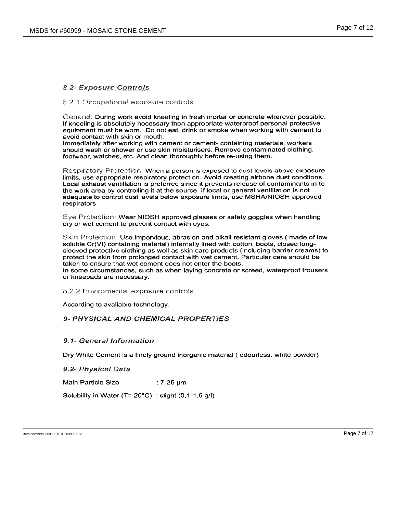# 8.2- Exposure Controls

#### 8.2.1 Occupational exposure controls

General: During work avoid kneeling in fresh mortar or concrete wherever possible. If kneeling is absolutely necessary then appropriate waterproof personal protective equipment must be worn. Do not eat, drink or smoke when working with cement to avoid contact with skin or mouth.

Immediately after working with cement or cement- containing materials, workers should wash or shower or use skin moisturisers. Remove contaminated clothing, footwear, watches, etc. And clean thoroughly before re-using them.

Respiratory Protection: When a person is exposed to dust levels above exposure limits, use appropriate respiratory protection. Avoid creating airbone dust conditons. Local exhaust ventillation is preferred since it prevents release of contaminants in to the work area by controlling it at the source. If local or general ventillation is not adequate to control dust levels below exposure limits, use MSHA/NIOSH approved respirators.

Eye Protection: Wear NIOSH approved glasses or safety goggles when handling dry or wet cement to prevent contact with eyes.

Skin Protection: Use impervious, abrasion and alkali resistant gloves (made of low soluble Cr(VI) containing material) internally lined with cotton, boots, closed longsleeved protective clothing as well as skin care products (including barrier creams) to protect the skin from prolonged contact with wet cement. Particular care should be taken to ensure that wet cement does not enter the boots.

In some circumstances, such as when laying concrete or screed, waterproof trousers or kneepads are necessary.

8.2.2 Enviromental exposure controls

According to avaliable technology.

# 9- PHYSICAL AND CHEMICAL PROPERTIES

#### 9.1- General Information

Dry White Cement is a finely ground inorganic material (odourless, white powder)

9.2- Physical Data

**Main Particle Size**  $: 7-25 \,\mathrm{\mu m}$ 

Solubility in Water ( $T = 20^{\circ}$ C) : slight (0,1-1,5 g/l)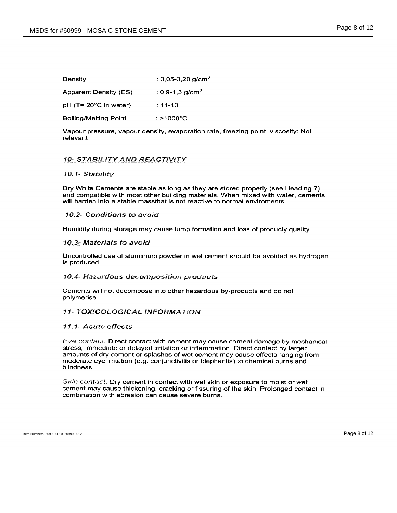| Density               | : 3,05-3,20 g/cm <sup>3</sup> |
|-----------------------|-------------------------------|
| Apparent Density (ES) | : 0,9-1,3 g/cm <sup>3</sup>   |

pH (T= 20°C in water)  $: 11 - 13$ 

**Boiling/Melting Point**  $: > 1000^{\circ}C$ 

Vapour pressure, vapour density, evaporation rate, freezing point, viscosity: Not relevant

# **10- STABILITY AND REACTIVITY**

## 10.1- Stability

Dry White Cements are stable as long as they are stored properly (see Heading 7) and compatible with most other building materials. When mixed with water, cements will harden into a stable massthat is not reactive to normal enviroments.

## 10.2- Conditions to avoid

Humidity during storage may cause lump formation and loss of producty quality.

## 10.3- Materials to avoid

Uncontrolled use of aluminium powder in wet cement should be avoided as hydrogen is produced.

#### 10.4- Hazardous decomposition products

Cements will not decompose into other hazardous by-products and do not polymerise.

# **11- TOXICOLOGICAL INFORMATION**

# 11.1- Acute effects

Eye contact: Direct contact with cement may cause corneal damage by mechanical stress, immediate or delayed irritation or inflammation. Direct contact by larger amounts of dry cement or splashes of wet cement may cause effects ranging from moderate eye irritation (e.g. conjunctivitis or blepharitis) to chemical burns and blindness.

Skin contact: Dry cement in contact with wet skin or exposure to moist or wet cement may cause thickening, cracking or fissuring of the skin. Prolonged contact in combination with abrasion can cause severe burns.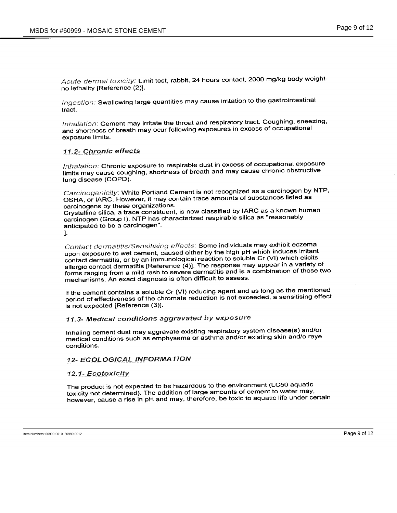Acute dermal toxicity: Limit test, rabbit, 24 hours contact, 2000 mg/kg body weightno lethality [Reference (2)].

Ingestion: Swallowing large quantities may cause irritation to the gastrointestinal tract

Inhalation: Cement may irritate the throat and respiratory tract. Coughing, sneezing, and shortness of breath may ocur following exposures in excess of occupational exposure limits.

## 11.2- Chronic effects

Inhalation: Chronic exposure to respirable dust in excess of occupational exposure limits may cause coughing, shortness of breath and may cause chronic obstructive lung disease (COPD).

Carcinogenicity: White Portland Cement is not recognized as a carcinogen by NTP, OSHA, or IARC. However, it may contain trace amounts of substances listed as carcinogens by these organizations.

Crystalline silica, a trace constituent, is now classified by IARC as a known human carcinogen (Group I). NTP has characterized respirable silica as "reasonably anticipated to be a carcinogen".

1.

Contact dermatitis/Sensitising effects: Some individuals may exhibit eczema upon exposure to wet cement, caused either by the high pH which induces irritant contact dermatitis, or by an immunological reaction to soluble Cr (VI) which elicits allergic contact dermatitis [Reference (4)]. The response may appear in a variety of forms ranging from a mild rash to severe dermatitis and is a combination of those two mechanisms. An exact diagnosis is often difficult to assess.

If the cement contains a soluble Cr (VI) reducing agent and as long as the mentioned period of effectiveness of the chromate reduction is not exceeded, a sensitising effect is not expected [Reference (3)].

# 11.3- Medical conditions aggravated by exposure

Inhaling cement dust may aggravate existing respiratory system disease(s) and/or medical conditions such as emphysema or asthma and/or existing skin and/o reye conditions.

# **12- ECOLOGICAL INFORMATION**

12.1- Ecotoxicity

The product is not expected to be hazardous to the environment (LC50 aquatic toxicity not determined). The addition of large amounts of cement to water may, however, cause a rise in pH and may, therefore, be toxic to aquatic life under certain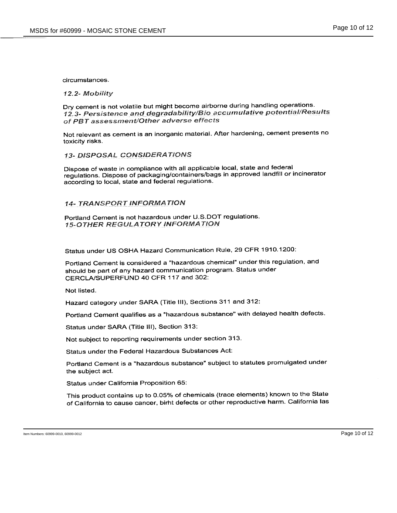#### circumstances.

#### 12.2- Mobility

Dry cement is not volatile but might become airborne during handling operations. 12.3- Persistence and degradability/Bio accumulative potential/Results of PBT assessment/Other adverse effects

Not relevant as cement is an inorganic material. After hardening, cement presents no toxicity risks.

# **13- DISPOSAL CONSIDERATIONS**

Dispose of waste in compliance with all applicable local, state and federal regulations. Dispose of packaging/containers/bags in approved landfill or incinerator according to local, state and federal regulations.

#### 14- TRANSPORT INFORMATION

Portland Cement is not hazardous under U.S.DOT regulations. **15-OTHER REGULATORY INFORMATION** 

Status under US OSHA Hazard Communication Rule, 29 CFR 1910.1200:

Portland Cement is considered a "hazardous chemical" under this regulation, and should be part of any hazard communication program. Status under CERCLA/SUPERFUND 40 CFR 117 and 302:

Not listed.

Hazard category under SARA (Title III), Sections 311 and 312:

Portland Cement qualifies as a "hazardous substance" with delayed health defects.

Status under SARA (Title III), Section 313:

Not subject to reporting requirements under section 313.

Status under the Federal Hazardous Substances Act:

Portland Cement is a "hazardous substance" subject to statutes promulgated under the subject act.

Status under California Proposition 65:

This product contains up to 0.05% of chemicals (trace elements) known to the State of California to cause cancer, birht defects or other reproductive harm. California las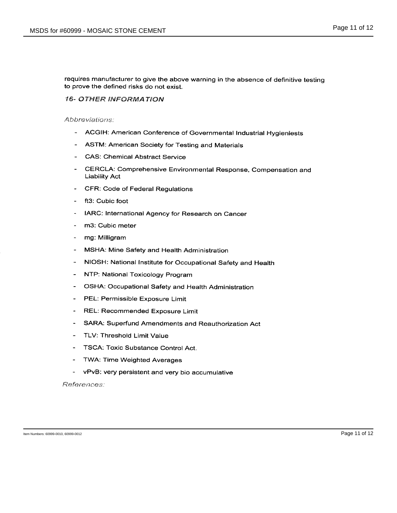requires manufacturer to give the above warning in the absence of definitive testing to prove the defined risks do not exist.

# **16- OTHER INFORMATION**

Abbreviations:

- ACGIH: American Conference of Governmental Industrial Hygieniests
- ASTM: American Society for Testing and Materials
- CAS: Chemical Abstract Service
- $\overline{\phantom{a}}$ CERCLA: Comprehensive Environmental Response, Compensation and **Liability Act**
- CFR: Code of Federal Regulations  $\omega$  .
- ft3: Cubic foot  $\sim$
- IARC: International Agency for Research on Cancer  $\sim$
- m3: Cubic meter
- $\Delta$ mg: Milligram
- MSHA: Mine Safety and Health Administration
- NIOSH: National Institute for Occupational Safety and Health
- NTP: National Toxicology Program  $\sim$  100  $\mu$
- OSHA: Occupational Safety and Health Administration
- PEL: Permissible Exposure Limit  $\omega$  .
- REL: Recommended Exposure Limit
- SARA: Superfund Amendments and Reauthorization Act  $\sim$
- TLV: Threshold Limit Value
- TSCA: Toxic Substance Control Act.  $\blacksquare$
- TWA: Time Weighted Averages  $\sim 100$
- vPvB: very persistent and very bio accumulative

References: